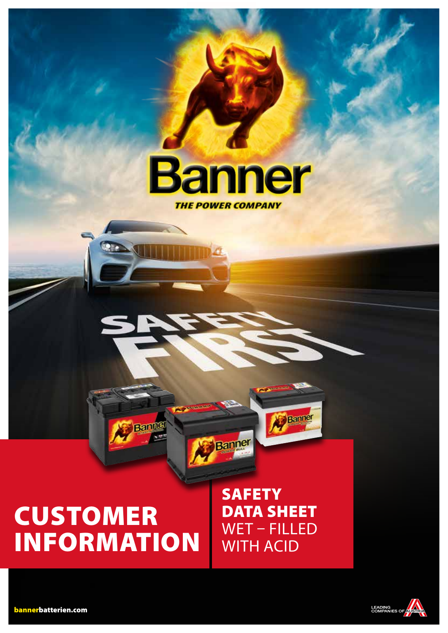

# CUSTOMER INFORMATION

Banne

**SAFETY** DATA SHEET WET – FILLED WITH ACID

**Banner** 

Banne



bannerbatterien.com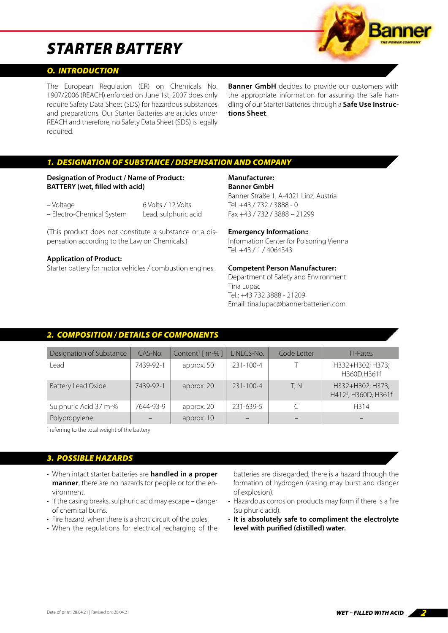#### *O. INTRODUCTION*

The European Regulation (ER) on Chemicals No. 1907/2006 (REACH) enforced on June 1st, 2007 does only require Safety Data Sheet (SDS) for hazardous substances and preparations. Our Starter Batteries are articles under REACH and therefore, no Safety Data Sheet (SDS) is legally required.

**Banner GmbH** decides to provide our customers with the appropriate information for assuring the safe handling of our Starter Batteries through a **Safe Use Instructions Sheet**.

#### *1. DESIGNATION OF SUBSTANCE / DISPENSATION AND COMPANY*

#### **Designation of Product / Name of Product: BATTERY (wet, filled with acid)**

| – Voltage                 | 6 Volts / 12 Volts   |
|---------------------------|----------------------|
| - Electro-Chemical System | Lead, sulphuric acid |

(This product does not constitute a substance or a dispensation according to the Law on Chemicals.)

#### **Application of Product:**

Starter battery for motor vehicles / combustion engines.

### **Manufacturer:**

**Banner GmbH**

Banner Straße 1, A-4021 Linz, Austria Tel. +43 / 732 / 3888 - 0 Fax +43 / 732 / 3888 – 21299

#### **Emergency Information::**

Information Center for Poisoning Vienna Tel. +43 / 1 / 4064343

#### **Competent Person Manufacturer:**

Department of Safety and Environment Tina Lupac Tel.: +43 732 3888 - 21209 Email: tina.lupac@bannerbatterien.com

#### *2. COMPOSITION / DETAILS OF COMPONENTS*

| Designation of Substance | CAS-No.   | Content <sup>1</sup> [ $m-$ %] | EINECS-No.      | Code Letter | H-Rates                                              |
|--------------------------|-----------|--------------------------------|-----------------|-------------|------------------------------------------------------|
| Lead                     | 7439-92-1 | approx. 50                     | $231 - 100 - 4$ |             | H332+H302; H373;<br>H360D;H361f                      |
| Battery Lead Oxide       | 7439-92-1 | approx. 20                     | $231 - 100 - 4$ | T: N        | H332+H302; H373;<br>H412 <sup>3</sup> ; H360D; H361f |
| Sulphuric Acid 37 m-%    | 7644-93-9 | approx. 20                     | 231-639-5       |             | H314                                                 |
| Polypropylene            |           | approx. 10                     |                 |             |                                                      |

<sup>1</sup> referring to the total weight of the battery

#### *3. POSSIBLE HAZARDS*

- When intact starter batteries are **handled in a proper manner**, there are no hazards for people or for the environment.
- If the casing breaks, sulphuric acid may escape danger of chemical burns.
- Fire hazard, when there is a short circuit of the poles.
- When the regulations for electrical recharging of the

batteries are disregarded, there is a hazard through the formation of hydrogen (casing may burst and danger of explosion).

- Hazardous corrosion products may form if there is a fire (sulphuric acid).
- **It is absolutely safe to compliment the electrolyte level with purified (distilled) water.**

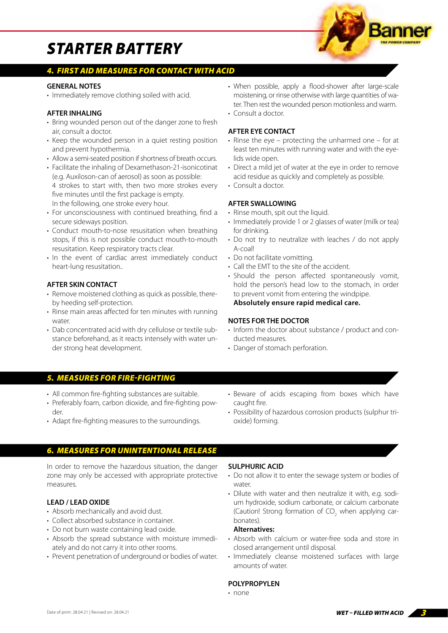#### *4. FIRST AID MEASURES FOR CONTACT WITH ACID*

#### **GENERAL NOTES**

• Immediately remove clothing soiled with acid.

#### **AFTER INHALING**

- Bring wounded person out of the danger zone to fresh air, consult a doctor.
- Keep the wounded person in a quiet resting position and prevent hypothermia.
- Allow a semi-seated position if shortness of breath occurs.
- Facilitate the inhaling of Dexamethason-21-isonicotinat (e.g. Auxiloson-can of aerosol) as soon as possible: 4 strokes to start with, then two more strokes every
- five minutes until the first package is empty. In the following, one stroke every hour.
- For unconsciousness with continued breathing, find a secure sideways position.
- Conduct mouth-to-nose resusitation when breathing stops, if this is not possible conduct mouth-to-mouth resusitation. Keep respiratory tracts clear.
- In the event of cardiac arrest immediately conduct heart-lung resusitation..

#### **AFTER SKIN CONTACT**

- Remove moistened clothing as quick as possible, thereby heeding self-protection.
- Rinse main areas affected for ten minutes with running water.
- Dab concentrated acid with dry cellulose or textile substance beforehand, as it reacts intensely with water under strong heat development.
- When possible, apply a flood-shower after large-scale moistening, or rinse otherwise with large quantities of water. Then rest the wounded person motionless and warm. • Consult a doctor.
- 

#### **AFTER EYE CONTACT**

- Rinse the eye protecting the unharmed one for at least ten minutes with running water and with the eyelids wide open.
- Direct a mild jet of water at the eye in order to remove acid residue as quickly and completely as possible.
- Consult a doctor.

#### **AFTER SWALLOWING**

- Rinse mouth, spit out the liquid.
- Immediately provide 1 or 2 glasses of water (milk or tea) for drinking.
- Do not try to neutralize with leaches / do not apply A-coal!
- Do not facilitate vomitting.
- Call the EMT to the site of the accident.
- Should the person affected spontaneously vomit, hold the person's head low to the stomach, in order to prevent vomit from entering the windpipe.

**Absolutely ensure rapid medical care.**

#### **NOTES FOR THE DOCTOR**

- Inform the doctor about substance / product and conducted measures.
- Danger of stomach perforation.

#### *5. MEASURES FOR FIRE-FIGHTING*

- All common fire-fighting substances are suitable.
- Preferably foam, carbon dioxide, and fire-fighting powder.
- Adapt fire-fighting measures to the surroundings.
- Beware of acids escaping from boxes which have caught fire.
- Possibility of hazardous corrosion products (sulphur trioxide) forming.

#### *6. MEASURES FOR UNINTENTIONAL RELEASE*

In order to remove the hazardous situation, the danger zone may only be accessed with appropriate protective measures.

#### **LEAD / LEAD OXIDE**

- Absorb mechanically and avoid dust.
- Collect absorbed substance in container.
- Do not burn waste containing lead oxide.
- Absorb the spread substance with moisture immediately and do not carry it into other rooms.
- Prevent penetration of underground or bodies of water.

#### **SULPHURIC ACID**

- Do not allow it to enter the sewage system or bodies of water
- Dilute with water and then neutralize it with, e.g. sodium hydroxide, sodium carbonate, or calcium carbonate (Caution! Strong formation of  $CO_2$  when applying carbonates).

#### **Alternatives:**

- Absorb with calcium or water-free soda and store in closed arrangement until disposal.
- Immediately cleanse moistened surfaces with large amounts of water.

#### **POLYPROPYLEN**

• none

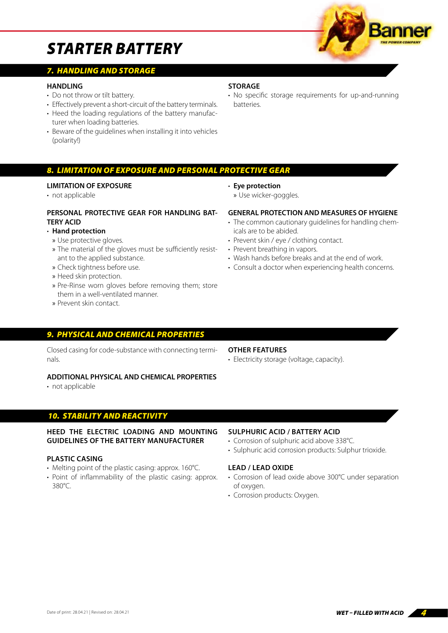

### *7. HANDLING AND STORAGE*

#### **HANDLING**

- Do not throw or tilt battery.
- Effectively prevent a short-circuit of the battery terminals.
- Heed the loading regulations of the battery manufacturer when loading batteries.
- Beware of the guidelines when installing it into vehicles (polarity!)

#### *8. LIMITATION OF EXPOSURE AND PERSONAL PROTECTIVE GEAR*

#### **LIMITATION OF EXPOSURE**

• not applicable

#### **PERSONAL PROTECTIVE GEAR FOR HANDLING BAT-TERY ACID**

#### • **Hand protection**

- » Use protective gloves.
- » The material of the gloves must be sufficiently resistant to the applied substance.
- » Check tightness before use.
- » Heed skin protection.
- » Pre-Rinse worn gloves before removing them; store them in a well-ventilated manner.
- » Prevent skin contact.

#### *9. PHYSICAL AND CHEMICAL PROPERTIES*

Closed casing for code-substance with connecting terminals.

#### **ADDITIONAL PHYSICAL AND CHEMICAL PROPERTIES**

• not applicable

#### *10. STABILITY AND REACTIVITY*

#### **HEED THE ELECTRIC LOADING AND MOUNTING GUIDELINES OF THE BATTERY MANUFACTURER**

#### **PLASTIC CASING**

- Melting point of the plastic casing: approx. 160°C.
- Point of inflammability of the plastic casing: approx. 380°C.

#### **SULPHURIC ACID / BATTERY ACID**

- Corrosion of sulphuric acid above 338°C.
- Sulphuric acid corrosion products: Sulphur trioxide.

#### **LEAD / LEAD OXIDE**

- Corrosion of lead oxide above 300°C under separation of oxygen.
- Corrosion products: Oxygen.

#### **STORAGE**

• No specific storage requirements for up-and-running **batteries** 



#### • Electricity storage (voltage, capacity).

- **Eye protection**
	- » Use wicker-goggles.

#### **GENERAL PROTECTION AND MEASURES OF HYGIENE**

- The common cautionary guidelines for handling chemicals are to be abided.
- Prevent skin / eye / clothing contact.
- Prevent breathing in vapors.
- Wash hands before breaks and at the end of work.
- Consult a doctor when experiencing health concerns.
- 
- 
- **OTHER FEATURES**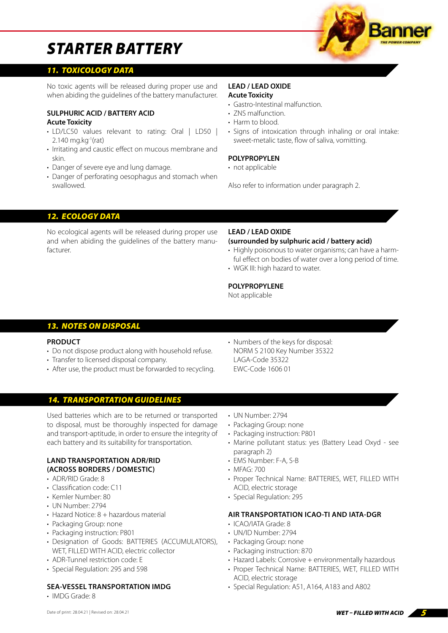

#### *11. TOXICOLOGY DATA*

No toxic agents will be released during proper use and when abiding the guidelines of the battery manufacturer.

#### **SULPHURIC ACID / BATTERY ACID**

#### **Acute Toxicity**

- LD/LC50 values relevant to rating: Oral | LD50 |  $2.140$  mg.kg<sup>-1</sup>(rat)
- Irritating and caustic effect on mucous membrane and skin.
- Danger of severe eye and lung damage.
- Danger of perforating oesophagus and stomach when swallowed.

#### **LEAD / LEAD OXIDE Acute Toxicity**

- Gastro-Intestinal malfunction.
- ZNS malfunction
- Harm to blood.
- Signs of intoxication through inhaling or oral intake: sweet-metalic taste, flow of saliva, vomitting.

#### **POLYPROPYLEN**

• not applicable

Also refer to information under paragraph 2.

#### *12. ECOLOGY DATA*

No ecological agents will be released during proper use and when abiding the guidelines of the battery manufacturer.

#### **LEAD / LEAD OXIDE**

#### **(surrounded by sulphuric acid / battery acid)**

- Highly poisonous to water organisms; can have a harmful effect on bodies of water over a long period of time.
- WGK III: high hazard to water.

#### **POLYPROPYLENE**

Not applicable

### *13. NOTES ON DISPOSAL*

#### **PRODUCT**

- Do not dispose product along with household refuse.
- Transfer to licensed disposal company.
- After use, the product must be forwarded to recycling.
- Numbers of the keys for disposal: NORM S 2100 Key Number 35322 LAGA-Code 35322 EWC-Code 1606 01

#### *14. TRANSPORTATION GUIDELINES*

Used batteries which are to be returned or transported to disposal, must be thoroughly inspected for damage and transport-aptitude, in order to ensure the integrity of each battery and its suitability for transportation.

#### **LAND TRANSPORTATION ADR/RID (ACROSS BORDERS / DOMESTIC)**

- ADR/RID Grade: 8
- Classification code: C11
- Kemler Number: 80
- UN Number: 2794
- Hazard Notice: 8 + hazardous material
- Packaging Group: none
- Packaging instruction: P801
- Designation of Goods: BATTERIES (ACCUMULATORS), WET, FILLED WITH ACID, electric collector
- ADR-Tunnel restriction code: E
- Special Regulation: 295 and 598

#### **SEA-VESSEL TRANSPORTATION IMDG**

• IMDG Grade: 8

- UN Number: 2794
- Packaging Group: none
- Packaging instruction: P801
- Marine pollutant status: yes (Battery Lead Oxyd see paragraph 2)
- EMS Number: F-A, S-B
- MFAG: 700
- Proper Technical Name: BATTERIES, WET, FILLED WITH ACID, electric storage
- Special Regulation: 295

#### **AIR TRANSPORTATION ICAO-TI AND IATA-DGR**

- ICAO/IATA Grade: 8
- UN/ID Number: 2794
- Packaging Group: none
- Packaging instruction: 870
- Hazard Labels: Corrosive + environmentally hazardous
- Proper Technical Name: BATTERIES, WET, FILLED WITH ACID, electric storage
- Special Regulation: A51, A164, A183 and A802

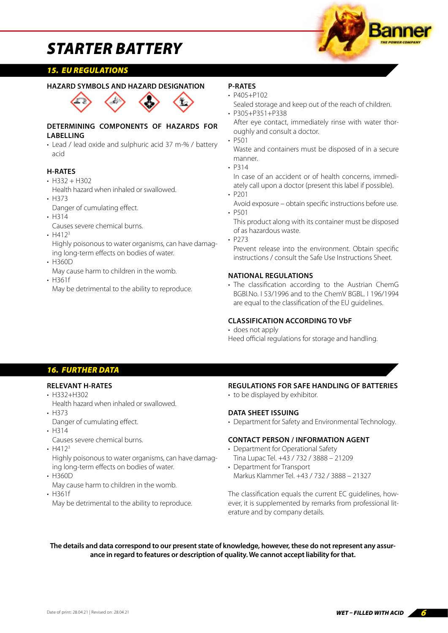

#### *15. EU REGULATIONS*

#### **HAZARD SYMBOLS AND HAZARD DESIGNATION**



#### **DETERMINING COMPONENTS OF HAZARDS FOR LABELLING**

• Lead / lead oxide and sulphuric acid 37 m-% / battery acid

#### **H-RATES**

- $·$  H332 + H302
- Health hazard when inhaled or swallowed. • H373
- Danger of cumulating effect.
- H314

Causes severe chemical burns.

•  $H412<sup>3</sup>$ 

Highly poisonous to water organisms, can have damaging long-term effects on bodies of water.

- H360D May cause harm to children in the womb.
- H361f

May be detrimental to the ability to reproduce.

#### **P-RATES**

- P405+P102
- Sealed storage and keep out of the reach of children. • P305+P351+P338

After eye contact, immediately rinse with water thoroughly and consult a doctor.

• P501

Waste and containers must be disposed of in a secure manner.

• P314

In case of an accident or of health concerns, immediately call upon a doctor (present this label if possible).

• P201

Avoid exposure – obtain specific instructions before use. • P501

This product along with its container must be disposed of as hazardous waste.

• P273

Prevent release into the environment. Obtain specific instructions / consult the Safe Use Instructions Sheet.

#### **NATIONAL REGULATIONS**

• The classification according to the Austrian ChemG BGBl.No. I 53/1996 and to the ChemV BGBL. I 196/1994 are equal to the classification of the EU guidelines.

#### **CLASSIFICATION ACCORDING TO VbF**

#### • does not apply

Heed official regulations for storage and handling.

#### *16. FURTHER DATA*

#### **RELEVANT H-RATES**

• H332+H302

Health hazard when inhaled or swallowed.

• H373

Danger of cumulating effect.

• H314

Causes severe chemical burns.

•  $H412<sup>3</sup>$ 

Highly poisonous to water organisms, can have damaging long-term effects on bodies of water.

- H360D
- May cause harm to children in the womb.
- H361f

May be detrimental to the ability to reproduce.

#### **REGULATIONS FOR SAFE HANDLING OF BATTERIES**

• to be displayed by exhibitor.

#### **DATA SHEET ISSUING**

• Department for Safety and Environmental Technology.

#### **CONTACT PERSON / INFORMATION AGENT**

- Department for Operational Safety Tina Lupac Tel. +43 / 732 / 3888 – 21209
- Department for Transport Markus Klammer Tel. +43 / 732 / 3888 – 21327

The classification equals the current EC guidelines, however, it is supplemented by remarks from professional literature and by company details.

**The details and data correspond to our present state of knowledge, however, these do not represent any assurance in regard to features or description of quality. We cannot accept liability for that.**